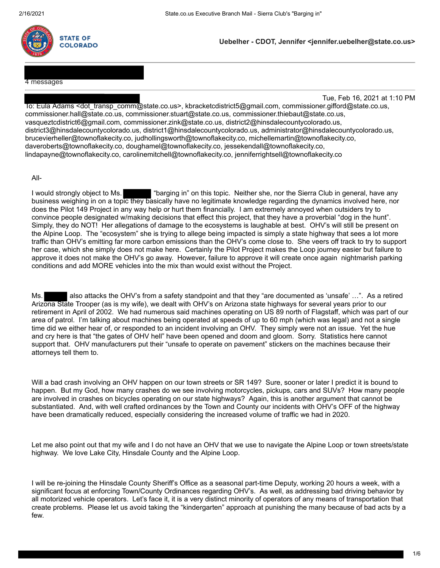

**Uebelher - CDOT, Jennifer <jennifer.uebelher@state.co.us>**

4 messages

Tue, Feb 16, 2021 at 1:10 PM

To: Eula Adams <dot\_transp\_comm@state.co.us>, kbracketcdistrict5@gmail.com, commissioner.gifford@state.co.us, commissioner.hall@state.co.us, commissioner.stuart@state.co.us, commissioner.thiebaut@state.co.us, vasqueztcdistrict6@gmail.com, commissioner.zink@state.co.us, district2@hinsdalecountycolorado.us, district3@hinsdalecountycolorado.us, district1@hinsdalecountycolorado.us, administrator@hinsdalecountycolorado.us, brucevierheller@townoflakecity.co, judhollingsworth@townoflakecity.co, michellemartin@townoflakecity.co, daveroberts@townoflakecity.co, doughamel@townoflakecity.co, jessekendall@townoflakecity.co, lindapayne@townoflakecity.co, carolinemitchell@townoflakecity.co, jenniferrightsell@townoflakecity.co

All-

I would strongly object to Ms. ""barging in" on this topic. Neither she, nor the Sierra Club in general, have any business weighing in on a topic they basically have no legitimate knowledge regarding the dynamics involved here, nor does the Pilot 149 Project in any way help or hurt them financially. I am extremely annoyed when outsiders try to convince people designated w/making decisions that effect this project, that they have a proverbial "dog in the hunt". Simply, they do NOT! Her allegations of damage to the ecosystems is laughable at best. OHV's will still be present on the Alpine Loop. The "ecosystem" she is trying to allege being impacted is simply a state highway that sees a lot more traffic than OHV's emitting far more carbon emissions than the OHV's come close to. She veers off track to try to support her case, which she simply does not make here. Certainly the Pilot Project makes the Loop journey easier but failure to approve it does not make the OHV's go away. However, failure to approve it will create once again nightmarish parking conditions and add MORE vehicles into the mix than would exist without the Project.

Ms. also attacks the OHV's from a safety standpoint and that they "are documented as 'unsafe' ...". As a retired Arizona State Trooper (as is my wife), we dealt with OHV's on Arizona state highways for several years prior to our retirement in April of 2002. We had numerous said machines operating on US 89 north of Flagstaff, which was part of our area of patrol. I'm talking about machines being operated at speeds of up to 60 mph (which was legal) and not a single time did we either hear of, or responded to an incident involving an OHV. They simply were not an issue. Yet the hue and cry here is that "the gates of OHV hell" have been opened and doom and gloom. Sorry. Statistics here cannot support that. OHV manufacturers put their "unsafe to operate on pavement" stickers on the machines because their attorneys tell them to.

Will a bad crash involving an OHV happen on our town streets or SR 149? Sure, sooner or later I predict it is bound to happen. But my God, how many crashes do we see involving motorcycles, pickups, cars and SUVs? How many people are involved in crashes on bicycles operating on our state highways? Again, this is another argument that cannot be substantiated. And, with well crafted ordinances by the Town and County our incidents with OHV's OFF of the highway have been dramatically reduced, especially considering the increased volume of traffic we had in 2020.

Let me also point out that my wife and I do not have an OHV that we use to navigate the Alpine Loop or town streets/state highway. We love Lake City, Hinsdale County and the Alpine Loop.

I will be re-joining the Hinsdale County Sheriff's Office as a seasonal part-time Deputy, working 20 hours a week, with a significant focus at enforcing Town/County Ordinances regarding OHV's. As well, as addressing bad driving behavior by all motorized vehicle operators. Let's face it, it is a very distinct minority of operators of any means of transportation that create problems. Please let us avoid taking the "kindergarten" approach at punishing the many because of bad acts by a few.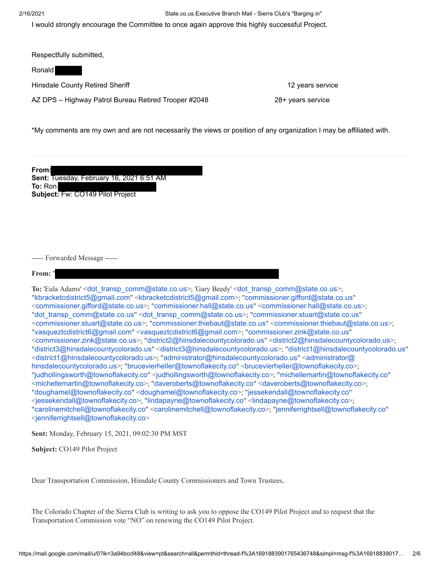2/16/2021 State.co.us Executive Branch Mail - Sierra Club's "Barging in"

I would strongly encourage the Committee to once again approve this highly successful Project.

Respectfully submitted,

Ronald

Hinsdale County Retired Sheriff **12 years service** 12 years service

AZ DPS – Highway Patrol Bureau Retired Trooper #2048 28+ years service

\*My comments are my own and are not necessarily the views or position of any organization I may be affiliated with.

**From: Sent:** Tuesday, February 16, 2021 6:51 AM **To:** Ron **Subject:** Fw: CO149 Pilot Project

----- Forwarded Message -----

From:

To: 'Eula Adams' <[dot\\_transp\\_comm@state.co.us](mailto:dot_transp_comm@state.co.us)>; 'Gary Beedy' <dot\_transp\_comm@state.co.us>; "[kbracketcdistrict5@gmail.com](mailto:kbracketcdistrict5@gmail.com)" <[kbracketcdistrict5@gmail.com](mailto:kbracketcdistrict5@gmail.com)>; "[commissioner.gifford@state.co.us](mailto:commissioner.gifford@state.co.us)" <[commissioner.gifford@state.co.us](mailto:commissioner.gifford@state.co.us)>; "[commissioner.hall@state.co.us](mailto:commissioner.hall@state.co.us)" <[commissioner.hall@state.co.us](mailto:commissioner.hall@state.co.us)>; "[dot\\_transp\\_comm@state.co.us](mailto:dot_transp_comm@state.co.us)" <[dot\\_transp\\_comm@state.co.us](mailto:dot_transp_comm@state.co.us)>; "[commissioner.stuart@state.co.us](mailto:commissioner.stuart@state.co.us)" <[commissioner.stuart@state.co.us](mailto:commissioner.stuart@state.co.us)>; "[commissioner.thiebaut@state.co.us](mailto:commissioner.thiebaut@state.co.us)" <[commissioner.thiebaut@state.co.us](mailto:commissioner.thiebaut@state.co.us)>; "[vasqueztcdistrict6@gmail.com](mailto:vasqueztcdistrict6@gmail.com)" <[vasqueztcdistrict6@gmail.com](mailto:vasqueztcdistrict6@gmail.com)>; "[commissioner.zink@state.co.us](mailto:commissioner.zink@state.co.us)" <[commissioner.zink@state.co.us](mailto:commissioner.zink@state.co.us)>; "[district2@hinsdalecountycolorado.us](mailto:district2@hinsdalecountycolorado.us)" <[district2@hinsdalecountycolorado.us](mailto:district2@hinsdalecountycolorado.us)>; "[district3@hinsdalecountycolorado.us](mailto:district3@hinsdalecountycolorado.us)" <[district3@hinsdalecountycolorado.us](mailto:district3@hinsdalecountycolorado.us)>; "[district1@hinsdalecountycolorado.us](mailto:district1@hinsdalecountycolorado.us)" <[district1@hinsdalecountycolorado.us](mailto:district1@hinsdalecountycolorado.us)>; "[administrator@hinsdalecountycolorado.us](mailto:administrator@hinsdalecountycolorado.us)" <administrator@ hinsdalecountycolorado.us>; "[brucevierheller@townoflakecity.co](mailto:brucevierheller@townoflakecity.co)" <br/>>brucevierheller@townoflakecity.co>; "[judhollingsworth@townoflakecity.co](mailto:judhollingsworth@townoflakecity.co)" <[judhollingsworth@townoflakecity.co](mailto:judhollingsworth@townoflakecity.co)>; "[michellemartin@townoflakecity.co](mailto:michellemartin@townoflakecity.co)" <[michellemartin@townoflakecity.co](mailto:michellemartin@townoflakecity.co)>; "[daveroberts@townoflakecity.co](mailto:daveroberts@townoflakecity.co)" <[daveroberts@townoflakecity.co](mailto:daveroberts@townoflakecity.co)>; "[doughamel@townoflakecity.co](mailto:doughamel@townoflakecity.co)" <[doughamel@townoflakecity.co](mailto:doughamel@townoflakecity.co)>; "[jessekendall@townoflakecity.co](mailto:jessekendall@townoflakecity.co)" <[jessekendall@townoflakecity.co](mailto:jessekendall@townoflakecity.co)>; "[lindapayne@townoflakecity.co](mailto:lindapayne@townoflakecity.co)" <[lindapayne@townoflakecity.co](mailto:lindapayne@townoflakecity.co)>; "[carolinemitchell@townoflakecity.co](mailto:carolinemitchell@townoflakecity.co)" <[carolinemitchell@townoflakecity.co](mailto:carolinemitchell@townoflakecity.co)>; "[jenniferrightsell@townoflakecity.co](mailto:jenniferrightsell@townoflakecity.co)" <[jenniferrightsell@townoflakecity.co](mailto:jenniferrightsell@townoflakecity.co)>

**Sent:** Monday, February 15, 2021, 09:02:30 PM MST

**Subject:** CO149 Pilot Project

Dear Transportation Commission, Hinsdale County Commissioners and Town Trustees,

The Colorado Chapter of the Sierra Club is writing to ask you to oppose the CO149 Pilot Project and to request that the Transportation Commission vote "NO" on renewing the CO149 Pilot Project.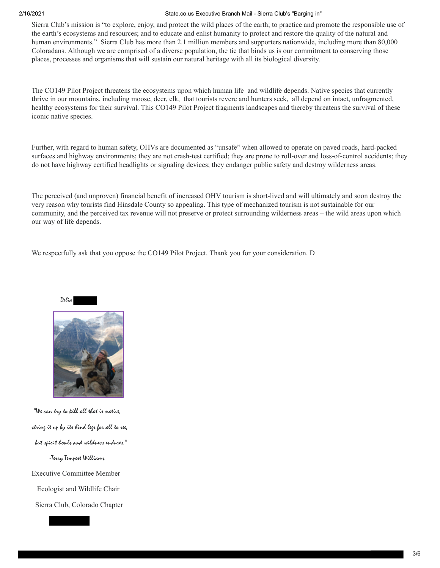#### 2/16/2021 State.co.us Executive Branch Mail - Sierra Club's "Barging in"

Sierra Club's mission is "to explore, enjoy, and protect the wild places of the earth; to practice and promote the responsible use of the earth's ecosystems and resources; and to educate and enlist humanity to protect and restore the quality of the natural and human environments." Sierra Club has more than 2.1 million members and supporters nationwide, including more than 80,000 Coloradans. Although we are comprised of a diverse population, the tie that binds us is our commitment to conserving those places, processes and organisms that will sustain our natural heritage with all its biological diversity.

The CO149 Pilot Project threatens the ecosystems upon which human life and wildlife depends. Native species that currently thrive in our mountains, including moose, deer, elk, that tourists revere and hunters seek, all depend on intact, unfragmented, healthy ecosystems for their survival. This CO149 Pilot Project fragments landscapes and thereby threatens the survival of these iconic native species.

Further, with regard to human safety, OHVs are documented as "unsafe" when allowed to operate on paved roads, hard-packed surfaces and highway environments; they are not crash-test certified; they are prone to roll-over and loss-of-control accidents; they do not have highway certified headlights or signaling devices; they endanger public safety and destroy wilderness areas.

The perceived (and unproven) financial benefit of increased OHV tourism is short-lived and will ultimately and soon destroy the very reason why tourists find Hinsdale County so appealing. This type of mechanized tourism is not sustainable for our community, and the perceived tax revenue will not preserve or protect surrounding wilderness areas – the wild areas upon which our way of life depends.

We respectfully ask that you oppose the CO149 Pilot Project. Thank you for your consideration. D



 "We can try to kill all that is native, string it up by its hind legs for all to see, but spirit howls and wildness endures." -Terry Tempest Williams Executive Committee Member Ecologist and Wildlife Chair Sierra Club, Colorado Chapter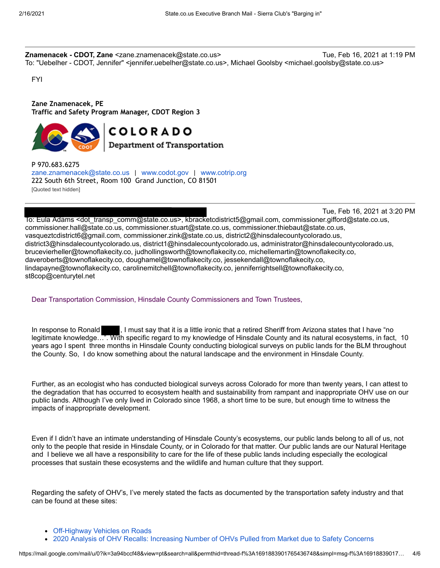**Znamenacek - CDOT, Zane** <zane.znamenacek@state.co.us> Tue, Feb 16, 2021 at 1:19 PM To: "Uebelher - CDOT, Jennifer" <jennifer.uebelher@state.co.us>, Michael Goolsby <michael.goolsby@state.co.us>

FYI

**Zane Znamenacek, PE Traffic and Safety Program Manager, CDOT Region 3**



# **COLORADO**

Department of Transportation

P 970.683.6275 [zane.znamenacek@state.co.us](mailto:andi.staley@state.co.us) | [www.codot.gov](https://urldefense.proofpoint.com/v2/url?u=http-3A__www.codot.gov&d=DwMFaQ&c=sdnEM9SRGFuMt5z5w3AhsPNahmNicq64TgF1JwNR0cs&r=ECBgWipnh1CsR620qu5ZU-boIQ5nI_ghsQW4CSHMT3g&m=j38GpV2sQ9h5RFidKwcJBxc3WEo5kvlgc2zjpZWP6hg&s=1zlNTmx2l_HSUpYdWL0WhCA6CYBbJ28mzSXY935KG6A&e=) | [www.cotrip.org](https://urldefense.proofpoint.com/v2/url?u=http-3A__www.cotrip.org&d=DwMFaQ&c=sdnEM9SRGFuMt5z5w3AhsPNahmNicq64TgF1JwNR0cs&r=ECBgWipnh1CsR620qu5ZU-boIQ5nI_ghsQW4CSHMT3g&m=j38GpV2sQ9h5RFidKwcJBxc3WEo5kvlgc2zjpZWP6hg&s=p-8Ha5oaeMFwk_fxdhutODbguefDLUGyCne8Fm4wAKE&e=) 222 South 6th Street, Room 100 Grand Junction, CO 81501 [Quoted text hidden]

Tue, Feb 16, 2021 at 3:20 PM

To: Eula Adams <dot\_transp\_comm@state.co.us>, kbracketcdistrict5@gmail.com, commissioner.gifford@state.co.us, commissioner.hall@state.co.us, commissioner.stuart@state.co.us, commissioner.thiebaut@state.co.us, vasqueztcdistrict6@gmail.com, commissioner.zink@state.co.us, district2@hinsdalecountycolorado.us, district3@hinsdalecountycolorado.us, district1@hinsdalecountycolorado.us, administrator@hinsdalecountycolorado.us, brucevierheller@townoflakecity.co, judhollingsworth@townoflakecity.co, michellemartin@townoflakecity.co, daveroberts@townoflakecity.co, doughamel@townoflakecity.co, jessekendall@townoflakecity.co, lindapayne@townoflakecity.co, carolinemitchell@townoflakecity.co, jenniferrightsell@townoflakecity.co, st8cop@centurytel.net

#### Dear Transportation Commission, Hinsdale County Commissioners and Town Trustees,

In response to Ronald , I must say that it is a little ironic that a retired Sheriff from Arizona states that I have "no legitimate knowledge…". With specific regard to my knowledge of Hinsdale County and its natural ecosystems, in fact, 10 years ago I spent three months in Hinsdale County conducting biological surveys on public lands for the BLM throughout the County. So, I do know something about the natural landscape and the environment in Hinsdale County.

Further, as an ecologist who has conducted biological surveys across Colorado for more than twenty years, I can attest to the degradation that has occurred to ecosystem health and sustainability from rampant and inappropriate OHV use on our public lands. Although I've only lived in Colorado since 1968, a short time to be sure, but enough time to witness the impacts of inappropriate development.

Even if I didn't have an intimate understanding of Hinsdale County's ecosystems, our public lands belong to all of us, not only to the people that reside in Hinsdale County, or in Colorado for that matter. Our public lands are our Natural Heritage and I believe we all have a responsibility to care for the life of these public lands including especially the ecological processes that sustain these ecosystems and the wildlife and human culture that they support.

Regarding the safety of OHV's, I've merely stated the facts as documented by the transportation safety industry and that can be found at these sites:

- [Off-Highway Vehicles on Roads](https://urldefense.proofpoint.com/v2/url?u=https-3A__consumerfed.org_off-2Dhighway-2Dvehicle-2Dsafety_off-2Dhighway-2Dvehicles-2Don-2Droads_&d=DwMFaQ&c=sdnEM9SRGFuMt5z5w3AhsPNahmNicq64TgF1JwNR0cs&r=7OKOuJVutXSCOaUyhEG_ee3r41A_wxxJzGOD-p9RLPY&m=-dXbY67wk8D--X9od7NCaF98amJiPCnZShbdZHEgioo&s=Dlc_29nm-xmgVvSsgOTmg-QqrCaeN438utzuhPigZmk&e=)
- [2020 Analysis of OHV Recalls: Increasing Number of OHVs Pulled from Market due to Safety Concerns](https://urldefense.proofpoint.com/v2/url?u=https-3A__consumerfed.org_recall-5Fblog-5F2020_&d=DwMFaQ&c=sdnEM9SRGFuMt5z5w3AhsPNahmNicq64TgF1JwNR0cs&r=7OKOuJVutXSCOaUyhEG_ee3r41A_wxxJzGOD-p9RLPY&m=-dXbY67wk8D--X9od7NCaF98amJiPCnZShbdZHEgioo&s=pDM70LsPpBWaOpYn-1QLl06FV-KsCjr-4jZ2_sjtIy8&e=)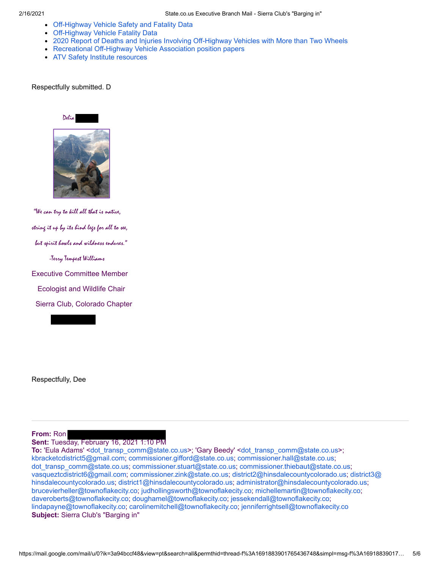- [Off-Highway Vehicle Safety and Fatality Data](https://urldefense.proofpoint.com/v2/url?u=https-3A__consumerfed.org_off-2Dhighway-2Dvehicle-2Dsafety_&d=DwMFaQ&c=sdnEM9SRGFuMt5z5w3AhsPNahmNicq64TgF1JwNR0cs&r=7OKOuJVutXSCOaUyhEG_ee3r41A_wxxJzGOD-p9RLPY&m=-dXbY67wk8D--X9od7NCaF98amJiPCnZShbdZHEgioo&s=iSISTjE__CGs-NNkMmCvflFPTC9n1ddKf8-MSJiZ3ZM&e=)
- [Off-Highway Vehicle Fatality Data](https://urldefense.proofpoint.com/v2/url?u=https-3A__consumerfed.org_off-2Dhighway-2Dvehicle-2Dsafety_off-2Dhighway-2Dvehicle-2Dfatality-2Ddata_&d=DwMFaQ&c=sdnEM9SRGFuMt5z5w3AhsPNahmNicq64TgF1JwNR0cs&r=7OKOuJVutXSCOaUyhEG_ee3r41A_wxxJzGOD-p9RLPY&m=-dXbY67wk8D--X9od7NCaF98amJiPCnZShbdZHEgioo&s=68yj0SSwx43Mllu-mRFQv5zOc_-pN3VSldbLljzvWrY&e=)
- [2020 Report of Deaths and Injuries Involving Off-Highway Vehicles with More than Two Wheels](https://urldefense.proofpoint.com/v2/url?u=https-3A__www.cpsc.gov_s3fs-2Dpublic_2020-2DReport-2Dof-2DDeathsand-2DInjuries-2DInvovling-2DOff-2DHighwayVehicles.pdf-3FczH-5FI.104OtVwPty-5FgQLdzWIp1SK5lSn&d=DwMFaQ&c=sdnEM9SRGFuMt5z5w3AhsPNahmNicq64TgF1JwNR0cs&r=7OKOuJVutXSCOaUyhEG_ee3r41A_wxxJzGOD-p9RLPY&m=-dXbY67wk8D--X9od7NCaF98amJiPCnZShbdZHEgioo&s=24kz0oOLW_VaPcwEo37CAyvq0HdlZJfQEgwcRUP6k8A&e=)
- [Recreational Off-Highway Vehicle Association position papers](https://urldefense.proofpoint.com/v2/url?u=https-3A__rohva.org_position-2Dpapers-2Dcomments_&d=DwMFaQ&c=sdnEM9SRGFuMt5z5w3AhsPNahmNicq64TgF1JwNR0cs&r=7OKOuJVutXSCOaUyhEG_ee3r41A_wxxJzGOD-p9RLPY&m=-dXbY67wk8D--X9od7NCaF98amJiPCnZShbdZHEgioo&s=jJGe71EGfRW7SlR5GcStd89W9sz7Yaze_fQtgdd9Sxc&e=)
- [ATV Safety Institute resources](https://urldefense.proofpoint.com/v2/url?u=https-3A__svia.org_atv-2Dresources_&d=DwMFaQ&c=sdnEM9SRGFuMt5z5w3AhsPNahmNicq64TgF1JwNR0cs&r=7OKOuJVutXSCOaUyhEG_ee3r41A_wxxJzGOD-p9RLPY&m=-dXbY67wk8D--X9od7NCaF98amJiPCnZShbdZHEgioo&s=2BWxE6eA7q41_wQ5YTyr3JAUx3jkbdwW5c0sXkR0PxY&e=)

Respectfully submitted. D



 "We can try to kill all that is native, string it up by its hind legs for all to see, but spirit howls and wildness endures." -Terry Tempest Williams Executive Committee Member Ecologist and Wildlife Chair Sierra Club, Colorado Chapter

Respectfully, Dee

### **From:** Ron

**Sent:** Tuesday, February 16, 2021 1:10 PM

**To:** 'Eula Adams' <dot transp\_comm@state.co.us>; 'Gary Beedy' <dot transp\_comm@state.co.us>; [kbracketcdistrict5@gmail.com;](mailto:kbracketcdistrict5@gmail.com) [commissioner.gifford@state.co.us](mailto:commissioner.gifford@state.co.us); [commissioner.hall@state.co.us;](mailto:commissioner.hall@state.co.us) [dot\\_transp\\_comm@state.co.us](mailto:dot_transp_comm@state.co.us); [commissioner.stuart@state.co.us](mailto:commissioner.stuart@state.co.us); [commissioner.thiebaut@state.co.us;](mailto:commissioner.thiebaut@state.co.us) [vasqueztcdistrict6@gmail.com](mailto:vasqueztcdistrict6@gmail.com)[;](mailto:district3@hinsdalecountycolorado.us) [commissioner.zink@state.co.us](mailto:commissioner.zink@state.co.us)[;](mailto:district3@hinsdalecountycolorado.us) [district2@hinsdalecountycolorado.u](mailto:district2@hinsdalecountycolorado.us)[s; district3@](mailto:district3@hinsdalecountycolorado.us) hinsdalecountycolorado.us; [district1@hinsdalecountycolorado.us;](mailto:district1@hinsdalecountycolorado.us) [administrator@hinsdalecountycolorado.us;](mailto:administrator@hinsdalecountycolorado.us) [brucevierheller@townoflakecity.co](mailto:brucevierheller@townoflakecity.co); [judhollingsworth@townoflakecity.co](mailto:judhollingsworth@townoflakecity.co); [michellemartin@townoflakecity.co](mailto:michellemartin@townoflakecity.co); [daveroberts@townoflakecity.co;](mailto:daveroberts@townoflakecity.co) [doughamel@townoflakecity.co;](mailto:doughamel@townoflakecity.co) [jessekendall@townoflakecity.co;](mailto:jessekendall@townoflakecity.co) [lindapayne@townoflakecity.co](mailto:lindapayne@townoflakecity.co); [carolinemitchell@townoflakecity.co](mailto:carolinemitchell@townoflakecity.co); [jenniferrightsell@townoflakecity.co](mailto:jenniferrightsell@townoflakecity.co) **Subject:** Sierra Club's "Barging in"